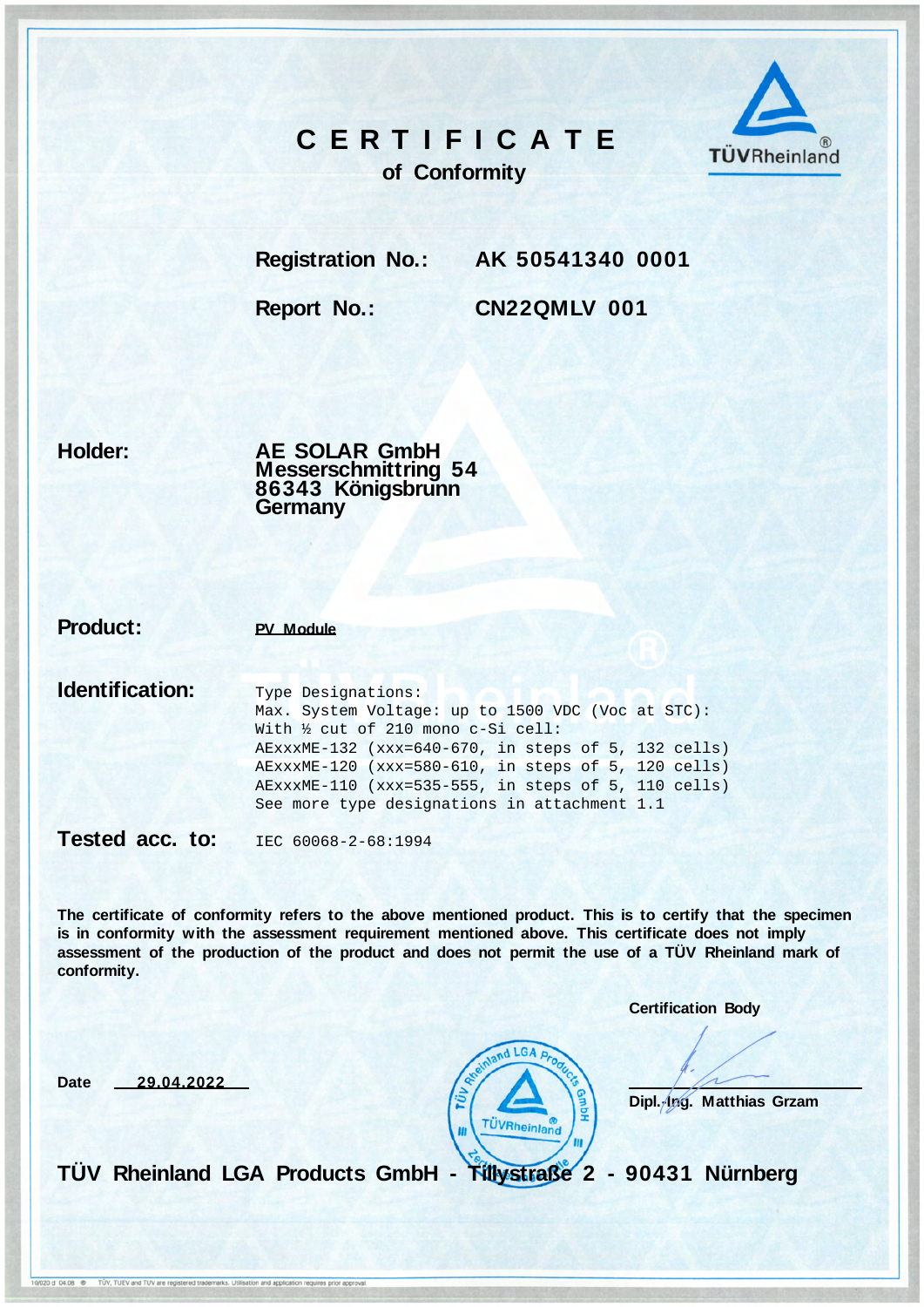## **C E R T I F I C A T E**



**of Conformity**

**Registration No.: AK 50541340 0001**

**Report No.: CN22QMLV 001**

**Holder:**

**AE SOLAR GmbH Messerschmittring 54 86343 Königsbrunn Germany**

**Product: PV Module**

**Identification:** Type Designations: Max. System Voltage: up to 1500 VDC (Voc at STC): With ½ cut of 210 mono c-Si cell: AExxxME-132 (xxx=640-670, in steps of 5, 132 cells) AExxxME-120 (xxx=580-610, in steps of 5, 120 cells) AExxxME-110 (xxx=535-555, in steps of 5, 110 cells) See more type designations in attachment 1.1

Tested acc. to: IEC 60068-2-68:1994

**The certificate of conformity refers to the above mentioned product. This is to certify that the specimen is in conformity with the assessment requirement mentioned above. This certificate does not imply assessment of the production of the product and does not permit the use of a TÜV Rheinland mark of conformity.**

**Certification Body**

**Date 29.04.2022** 



**Dipl.-Ing. Matthias Grzam**

**TÜV Rheinland LGA Products GmbH - Tillystraße 2 - 90431 Nürnberg**

10/020 d 04.08 <sup>®</sup> TŪV, TUEV and TUV are registered trademarks. Utilisation and application requires prior approval